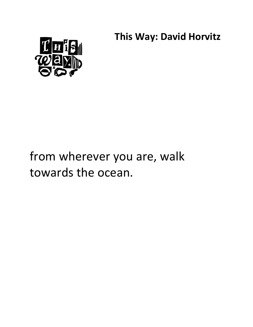**This Way: David Horvitz** 



## from wherever you are, walk towards the ocean.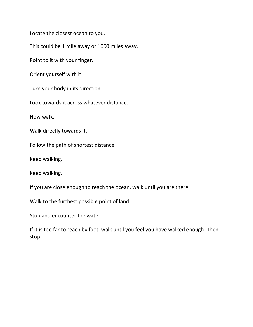Locate the closest ocean to you.

This could be 1 mile away or 1000 miles away.

Point to it with your finger.

Orient yourself with it.

Turn your body in its direction.

Look towards it across whatever distance.

Now walk.

Walk directly towards it.

Follow the path of shortest distance.

Keep walking.

Keep walking.

If you are close enough to reach the ocean, walk until you are there.

Walk to the furthest possible point of land.

Stop and encounter the water.

If it is too far to reach by foot, walk until you feel you have walked enough. Then stop.